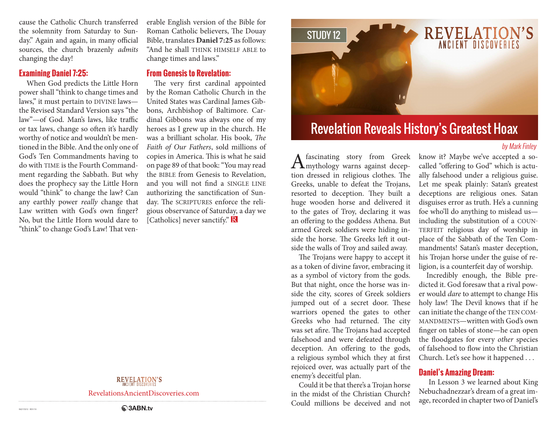cause the Catholic Church transferred the solemnity from Saturday to Sunday." Again and again, in many official sources, the church brazenly *admits* changing the day!

#### **Examining Daniel 7:25:**

When God predicts the Little Horn power shall "think to change times and laws," it must pertain to DIVINE laws the Revised Standard Version says "the law"—of God. Man's laws, like traffic or tax laws, change so often it's hardly worthy of notice and wouldn't be mentioned in the Bible. And the only one of God's Ten Commandments having to do with TIME is the Fourth Commandment regarding the Sabbath. But why does the prophecy say the Little Horn would "think" to change the law? Can any earthly power *really* change that Law written with God's own finger? No, but the Little Horn would dare to "think" to change God's Law! That venerable English version of the Bible for Roman Catholic believers, The Douay Bible, translates **Daniel 7:25** as follows: "And he shall THINK HIMSELF ABLE to change times and laws."

#### **From Genesis to Revelation:**

The very first cardinal appointed by the Roman Catholic Church in the United States was Cardinal James Gibbons, Archbishop of Baltimore. Cardinal Gibbons was always one of my heroes as I grew up in the church. He was a brilliant scholar. His book, *The Faith of Our Fathers*, sold millions of copies in America. This is what he said on page 89 of that book: "You may read the BIBLE from Genesis to Revelation, and you will not find a SINGLE LINE authorizing the sanctification of Sunday. The SCRIPTURES enforce the religious observance of Saturday, a day we [Catholics] never sanctify." R

#### REVELATION'S

RevelationsAncientDiscoveries.com



# Revelation Reveals History's Greatest Hoax

#### by Mark Finley

A fascinating story from Greek<br>
the mythology warns against deception dressed in religious clothes. The Greeks, unable to defeat the Trojans, resorted to deception. They built a huge wooden horse and delivered it to the gates of Troy, declaring it was an offering to the goddess Athena. But armed Greek soldiers were hiding inside the horse. The Greeks left it outside the walls of Troy and sailed away.

The Trojans were happy to accept it as a token of divine favor, embracing it as a symbol of victory from the gods. But that night, once the horse was inside the city, scores of Greek soldiers jumped out of a secret door. These warriors opened the gates to other Greeks who had returned. The city was set afire. The Trojans had accepted falsehood and were defeated through deception. An offering to the gods, a religious symbol which they at first rejoiced over, was actually part of the enemy's deceitful plan.

Could it be that there's a Trojan horse in the midst of the Christian Church? Could millions be deceived and not

know it? Maybe we've accepted a socalled "offering to God" which is actually falsehood under a religious guise. Let me speak plainly: Satan's greatest deceptions are religious ones. Satan disguises error as truth. He's a cunning foe who'll do anything to mislead us including the substitution of a COUN-TERFEIT religious day of worship in place of the Sabbath of the Ten Commandments! Satan's master deception, his Trojan horse under the guise of religion, is a counterfeit day of worship.

Incredibly enough, the Bible predicted it. God foresaw that a rival power would *dare* to attempt to change His holy law! The Devil knows that if he can initiate the change of the TEN COM-MANDMENTS—written with God's own finger on tables of stone—he can open the floodgates for every *other* species of falsehood to flow into the Christian Church. Let's see how it happened . . .

#### **Daniel's Amazing Dream:**

 In Lesson 3 we learned about King Nebuchadnezzar's dream of a great image, recorded in chapter two of Daniel's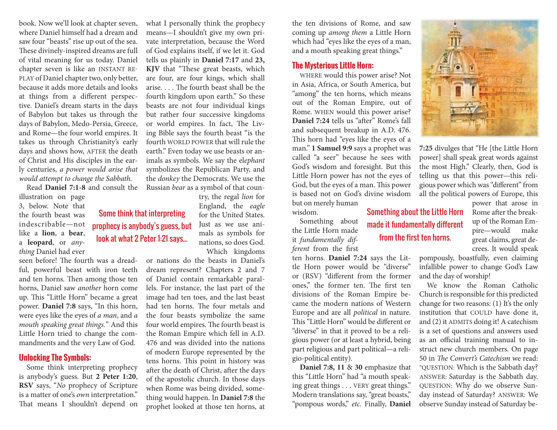book. Now we'll look at chapter seven, where Daniel himself had a dream and saw four "beasts" rise up out of the sea. These divinely-inspired dreams are full of vital meaning for us today. Daniel chapter seven is like an INSTANT RE-PLAY of Daniel chapter two, only better, because it adds more details and looks at things from a different perspective. Daniel's dream starts in the days of Babylon but takes us through the days of Babylon, Medo-Persia, Greece, and Rome—the four world empires. It takes us through Christianity's early days and shows how, AFTER the death of Christ and His disciples in the early centuries, *a power would arise that would attempt to change the Sabbath.*

Read **Daniel 7:1-8** and consult the

Some think that interpreting prophecy is anybody's guess, but look at what 2 Peter 1:21 says...

illustration on page 3, below. Note that the fourth beast was indescribable—not like a **lion**, a **bear**, a **leopard**, or *anything* Daniel had ever

seen before! The fourth was a dreadful, powerful beast with iron teeth and ten horns. Then among those ten horns, Daniel saw *another* horn come up. This "Little Horn" became a great power. **Daniel 7:8** says, "In this horn, were eyes like the eyes of *a man*, and *a mouth speaking great things.*" And this Little Horn tried to change the commandments and the very Law of God.

#### **Unlocking The Symbols:**

Some think interpreting prophecy is anybody's guess. But **2 Peter 1:20**, **RSV** says, "*No* prophecy of Scripture is a matter of one's *own* interpretation." That means I shouldn't depend on

what I personally think the prophecy means—I shouldn't give my own private interpretation, because the Word of God explains itself, if we let it. God tells us plainly in **Daniel 7:17** and **23, KJV** that "These great beasts, which are four, are four kings, which shall arise. . . . The fourth beast shall be the fourth kingdom upon earth." So these beasts are not four individual kings but rather four successive kingdoms or world empires. In fact, The Living Bible says the fourth beast "is the fourth WORLD POWER that will rule the earth." Even today we use beasts or animals as symbols. We say the el*ephant* symbolizes the Republican Party, and the *donkey* the Democrats. We use the Russian *bear* as a symbol of that coun-

> try, the regal *lion* for England, the *eagle* for the United States. Just as we use animals as symbols for nations, so does God. Which kingdoms

or nations do the beasts in Daniel's dream represent? Chapters 2 and 7 of Daniel contain remarkable parallels. For instance, the last part of the image had ten toes, and the last beast had ten horns. The four metals and the four beasts symbolize the same four world empires. The fourth beast is the Roman Empire which fell in A.D. 476 and was divided into the nations of modern Europe represented by the tens horns. This point in history was after the death of Christ, after the days of the apostolic church. In those days when Rome was being divided, something would happen. In **Daniel 7:8** the prophet looked at those ten horns, at

the ten divisions of Rome, and saw coming up *among them* a Little Horn which had "eyes like the eyes of a man, and a mouth speaking great things."

### **The Mysterious Little Horn:**

WHERE would this power arise? Not in Asia, Africa, or South America, but "among" the ten horns, which means out of the Roman Empire, out of Rome. WHEN would this power arise? **Daniel 7:24** tells us "after" Rome's fall and subsequent breakup in A.D. 476. This horn had "eyes like the eyes of a man." **1 Samuel 9:9** says a prophet was called "a seer" because he sees with God's wisdom and foresight. But this Little Horn power has not the eyes of God, but the eyes of a man. This power is based not on God's divine wisdom but on merely human

wisdom. Something about

the Little Horn made it *fundamentally different* from the first

ten horns. **Daniel 7:24** says the Little Horn power would be "diverse" or (RSV) "different from the former ones," the former ten. The first ten divisions of the Roman Empire became the modern nations of Western Europe and are all *political* in nature. This "Little Horn" would be different or "diverse" in that it proved to be a religious power (or at least a hybrid, being part religious and part political—a religio-political entity).

**Daniel 7:8, 11** & **30** emphasize that this "Little Horn" had "a mouth speaking great things . . . VERY great things." Modern translations say, "great boasts," "pompous words," *etc.* Finally, **Daniel** 



**7:25** divulges that "He [the Little Horn power] shall speak great words against the most High." Clearly, then, God is telling us that this power—this religious power which was "different" from all the political powers of Europe, this

Something about the Little Horn made it fundamentally different from the first ten horns.

power that arose in Rome after the breakup of the Roman Empire—would make great claims, great decrees. It would speak

pompously, boastfully, even claiming infallible power to change God's Law and the day of worship!

We know the Roman Catholic Church is responsible for this predicted change for two reasons: (1) It's the only institution that COULD have done it, and (2) it ADMITS doing it! A catechism is a set of questions and answers used as an official training manual to instruct new church members. On page 50 in *The Convert's Catechism* we read: "QUESTION: Which is the Sabbath day? ANSWER: Saturday is the Sabbath day. QUESTION: Why do we observe Sunday instead of Saturday? ANSWER: We observe Sunday instead of Saturday be-